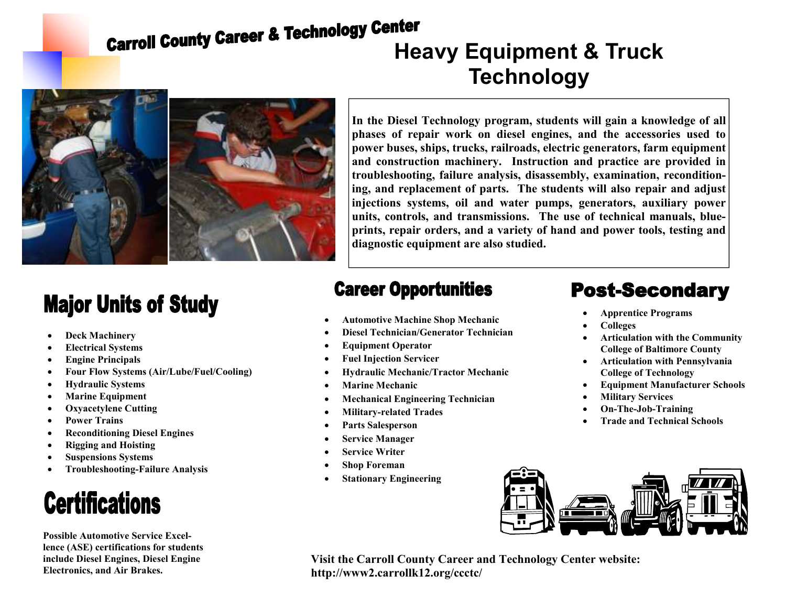# **Carroll County Career & Technology venter<br>Heavy Equipment & Truck**



**Major Units of Study** 

- **Deck Machinery**
- **Electrical Systems**
- **Engine Principals**
- **Four Flow Systems (Air/Lube/Fuel/Cooling)**
- **Hydraulic Systems**
- **Marine Equipment**
- **Oxyacetylene Cutting**
- **Power Trains**
- **Reconditioning Diesel Engines**
- **Rigging and Hoisting**
- **Suspensions Systems**
- **Troubleshooting-Failure Analysis**

### **Certifications**

**Possible Automotive Service Excellence (ASE) certifications for students include Diesel Engines, Diesel Engine Electronics, and Air Brakes.** 

## **Technology**

**In the Diesel Technology program, students will gain a knowledge of all phases of repair work on diesel engines, and the accessories used to power buses, ships, trucks, railroads, electric generators, farm equipment and construction machinery. Instruction and practice are provided in troubleshooting, failure analysis, disassembly, examination, reconditioning, and replacement of parts. The students will also repair and adjust injections systems, oil and water pumps, generators, auxiliary power units, controls, and transmissions. The use of technical manuals, blueprints, repair orders, and a variety of hand and power tools, testing and diagnostic equipment are also studied.** 

#### **Career Opportunities**

- **Automotive Machine Shop Mechanic**
- **Diesel Technician/Generator Technician**
- **Equipment Operator**
- **Fuel Injection Servicer**
- **Hydraulic Mechanic/Tractor Mechanic**
- **Marine Mechanic**
- **Mechanical Engineering Technician**
- **Military-related Trades**
- **Parts Salesperson**
- **Service Manager**
- **Service Writer**
- **Shop Foreman**
- **Stationary Engineering**

#### **Post-Secondary**

- **Apprentice Programs**
- **Colleges**
- **Articulation with the Community College of Baltimore County**
- **Articulation with Pennsylvania College of Technology**
- **Equipment Manufacturer Schools**
- **Military Services**
- **On-The-Job-Training**
- **Trade and Technical Schools**



**Visit the Carroll County Career and Technology Center website: http://www2.carrollk12.org/ccctc/**